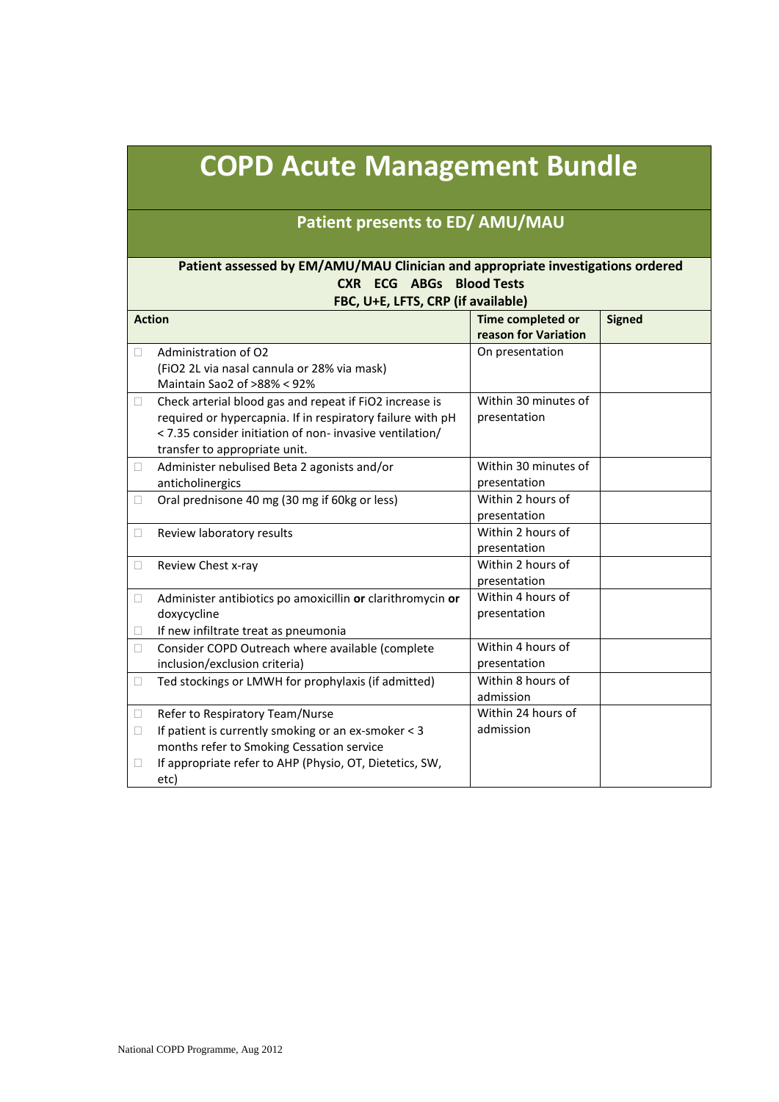# **COPD Acute Management Bundle**

## **Patient presents to ED/ AMU/MAU**

#### **Patient assessed by EM/AMU/MAU Clinician and appropriate investigations ordered CXR ECG ABGs Blood Tests FBC, U+E, LFTS, CRP (if available)**

| <b>Signed</b><br><b>Action</b><br>Time completed or |                                                            |                      |  |
|-----------------------------------------------------|------------------------------------------------------------|----------------------|--|
|                                                     |                                                            | reason for Variation |  |
| Ш                                                   | Administration of O2                                       | On presentation      |  |
|                                                     | (FiO2 2L via nasal cannula or 28% via mask)                |                      |  |
|                                                     | Maintain Sao2 of >88% < 92%                                |                      |  |
|                                                     |                                                            | Within 30 minutes of |  |
| $\Box$                                              | Check arterial blood gas and repeat if FiO2 increase is    |                      |  |
|                                                     | required or hypercapnia. If in respiratory failure with pH | presentation         |  |
|                                                     | < 7.35 consider initiation of non- invasive ventilation/   |                      |  |
|                                                     | transfer to appropriate unit.                              |                      |  |
| 0                                                   | Administer nebulised Beta 2 agonists and/or                | Within 30 minutes of |  |
|                                                     | anticholinergics                                           | presentation         |  |
| □                                                   | Oral prednisone 40 mg (30 mg if 60kg or less)              | Within 2 hours of    |  |
|                                                     |                                                            | presentation         |  |
| u                                                   | Review laboratory results                                  | Within 2 hours of    |  |
|                                                     |                                                            | presentation         |  |
| □                                                   | Review Chest x-ray                                         | Within 2 hours of    |  |
|                                                     |                                                            | presentation         |  |
| □                                                   | Administer antibiotics po amoxicillin or clarithromycin or | Within 4 hours of    |  |
|                                                     | doxycycline                                                | presentation         |  |
|                                                     | If new infiltrate treat as pneumonia                       |                      |  |
| П                                                   | Consider COPD Outreach where available (complete           | Within 4 hours of    |  |
|                                                     | inclusion/exclusion criteria)                              | presentation         |  |
| □                                                   | Ted stockings or LMWH for prophylaxis (if admitted)        | Within 8 hours of    |  |
|                                                     |                                                            | admission            |  |
| u                                                   | Refer to Respiratory Team/Nurse                            | Within 24 hours of   |  |
| □                                                   | If patient is currently smoking or an ex-smoker < 3        | admission            |  |
|                                                     | months refer to Smoking Cessation service                  |                      |  |
| u                                                   | If appropriate refer to AHP (Physio, OT, Dietetics, SW,    |                      |  |
|                                                     | etc)                                                       |                      |  |